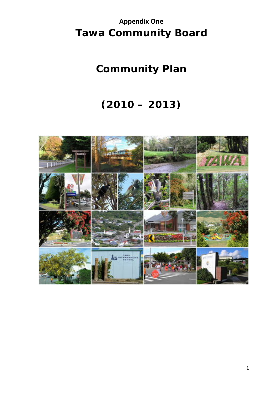# **Appendix One Tawa Community Board**

# **Community Plan**

# **(2010 – 2013)**

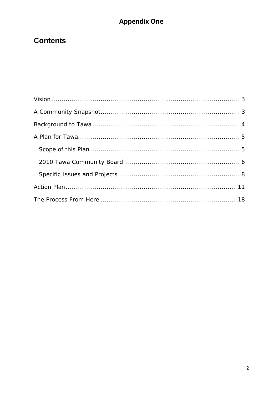# **Contents**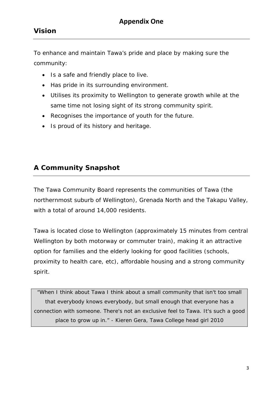To enhance and maintain Tawa's pride and place by making sure the community:

- Is a safe and friendly place to live.
- Has pride in its surrounding environment.
- Utilises its proximity to Wellington to generate growth while at the same time not losing sight of its strong community spirit.
- Recognises the importance of youth for the future.
- Is proud of its history and heritage.

### **A Community Snapshot**

The Tawa Community Board represents the communities of Tawa (the northernmost suburb of Wellington), Grenada North and the Takapu Valley, with a total of around 14,000 residents.

Tawa is located close to Wellington (approximately 15 minutes from central Wellington by both motorway or commuter train), making it an attractive option for families and the elderly looking for good facilities (schools, proximity to health care, etc), affordable housing and a strong community spirit.

"When I think about Tawa I think about a small community that isn't too small that everybody knows everybody, but small enough that everyone has a connection with someone. There's not an exclusive feel to Tawa. It's such a good place to grow up in." - Kieren Gera, Tawa College head girl 2010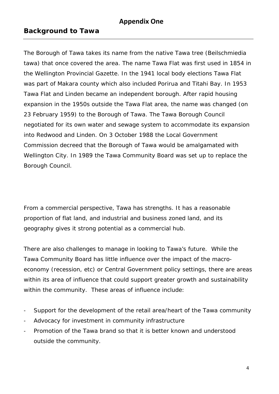#### **Background to Tawa**

The Borough of Tawa takes its name from the native Tawa tree (Beilschmiedia tawa) that once covered the area. The name Tawa Flat was first used in 1854 in the Wellington Provincial Gazette. In the 1941 local body elections Tawa Flat was part of Makara county which also included Porirua and Titahi Bay. In 1953 Tawa Flat and Linden became an independent borough. After rapid housing expansion in the 1950s outside the Tawa Flat area, the name was changed (on 23 February 1959) to the Borough of Tawa. The Tawa Borough Council negotiated for its own water and sewage system to accommodate its expansion into Redwood and Linden. On 3 October 1988 the Local Government Commission decreed that the Borough of Tawa would be amalgamated with Wellington City. In 1989 the Tawa Community Board was set up to replace the Borough Council.

From a commercial perspective, Tawa has strengths. It has a reasonable proportion of flat land, and industrial and business zoned land, and its geography gives it strong potential as a commercial hub.

There are also challenges to manage in looking to Tawa's future. While the Tawa Community Board has little influence over the impact of the macroeconomy (recession, etc) or Central Government policy settings, there are areas within its area of influence that could support greater growth and sustainability within the community. These areas of influence include:

- Support for the development of the retail area/heart of the Tawa community
- Advocacy for investment in community infrastructure
- Promotion of the Tawa brand so that it is better known and understood outside the community.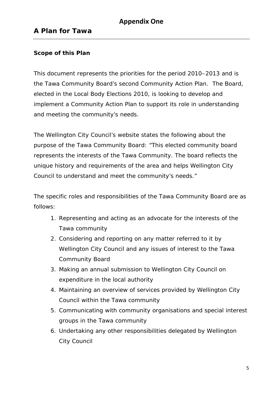### **A Plan for Tawa**

#### *Scope of this Plan*

This document represents the priorities for the period 2010–2013 and is the Tawa Community Board's second Community Action Plan. The Board, elected in the Local Body Elections 2010, is looking to develop and implement a Community Action Plan to support its role in understanding and meeting the community's needs.

The Wellington City Council's website states the following about the purpose of the Tawa Community Board: "This elected community board represents the interests of the Tawa Community. The board reflects the unique history and requirements of the area and helps Wellington City Council to understand and meet the community's needs."

The specific roles and responsibilities of the Tawa Community Board are as follows:

- 1. Representing and acting as an advocate for the interests of the Tawa community
- 2. Considering and reporting on any matter referred to it by Wellington City Council and any issues of interest to the Tawa Community Board
- 3. Making an annual submission to Wellington City Council on expenditure in the local authority
- 4. Maintaining an overview of services provided by Wellington City Council within the Tawa community
- 5. Communicating with community organisations and special interest groups in the Tawa community
- 6. Undertaking any other responsibilities delegated by Wellington City Council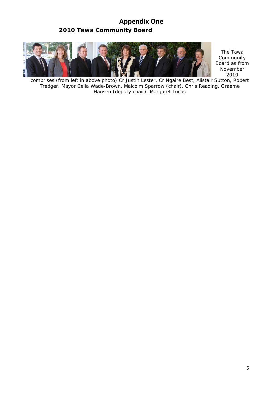### **Appendix One** *2010 Tawa Community Board*



*The Tawa Community Board as from November 2010* 

*comprises (from left in above photo) Cr Justin Lester, Cr Ngaire Best, Alistair Sutton, Robert Tredger, Mayor Celia Wade-Brown, Malcolm Sparrow (chair), Chris Reading, Graeme Hansen (deputy chair), Margaret Lucas*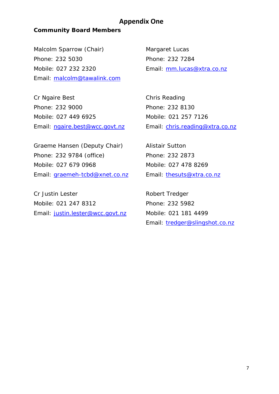#### *Community Board Members*

Malcolm Sparrow (Chair) Phone: 232 5030 Mobile: 027 232 2320 Email: malcolm@tawalink.com

Cr Ngaire Best Phone: 232 9000 Mobile: 027 449 6925 Email: ngaire.best@wcc.govt.nz Margaret Lucas Phone: 232 7284 Email: mm.lucas@xtra.co.nz

Chris Reading Phone: 232 8130 Mobile: 021 257 7126 Email: chris.reading@xtra.co.nz

Graeme Hansen (Deputy Chair) Phone: 232 9784 (office) Mobile: 027 679 0968 Email: graemeh-tcbd@xnet.co.nz

Cr Justin Lester Mobile: 021 247 8312 Email: justin.lester@wcc.govt.nz Alistair Sutton Phone: 232 2873 Mobile: 027 478 8269 Email: thesuts@xtra.co.nz

Robert Tredger Phone: 232 5982 Mobile: 021 181 4499 Email: tredger@slingshot.co.nz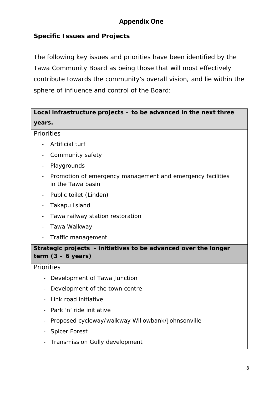#### *Specific Issues and Projects*

The following key issues and priorities have been identified by the Tawa Community Board as being those that will most effectively contribute towards the community's overall vision, and lie within the sphere of influence and control of the Board:

### **Local infrastructure projects – to be advanced in the next three years.**

#### **Priorities**

- Artificial turf
- Community safety
- Playgrounds
- Promotion of emergency management and emergency facilities in the Tawa basin
- Public toilet (Linden)
- Takapu Island
- Tawa railway station restoration
- Tawa Walkway
- Traffic management

#### **Strategic projects - initiatives to be advanced over the longer term (3 – 6 years)**

**Priorities** 

- Development of Tawa Junction
- Development of the town centre
- Link road initiative
- Park 'n' ride initiative
- Proposed cycleway/walkway Willowbank/Johnsonville
- Spicer Forest
- Transmission Gully development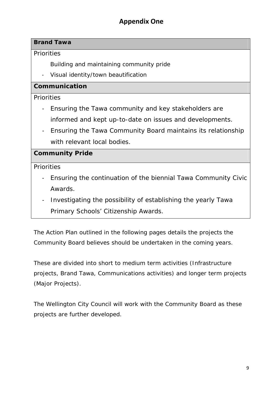#### **Brand Tawa**

**Priorities** 

Building and maintaining community pride

- Visual identity/town beautification

#### **Communication**

**Priorities** 

- Ensuring the Tawa community and key stakeholders are informed and kept up-to-date on issues and developments.
- Ensuring the Tawa Community Board maintains its relationship with relevant local bodies.

#### **Community Pride**

**Priorities** 

- Ensuring the continuation of the biennial Tawa Community Civic Awards.
- Investigating the possibility of establishing the yearly Tawa Primary Schools' Citizenship Awards.

The Action Plan outlined in the following pages details the projects the Community Board believes should be undertaken in the coming years.

These are divided into short to medium term activities (Infrastructure projects, Brand Tawa, Communications activities) and longer term projects (Major Projects).

The Wellington City Council will work with the Community Board as these projects are further developed.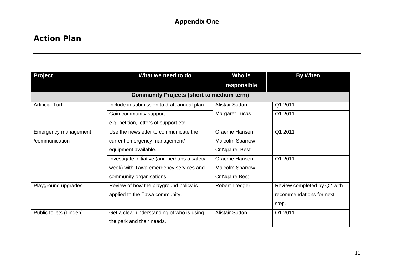#### **Action Plan**

| <b>Project</b>          | What we need to do                               | Who is                 | <b>By When</b>              |  |
|-------------------------|--------------------------------------------------|------------------------|-----------------------------|--|
|                         |                                                  | responsible            |                             |  |
|                         | <b>Community Projects (short to medium term)</b> |                        |                             |  |
| <b>Artificial Turf</b>  | Include in submission to draft annual plan.      | <b>Alistair Sutton</b> | Q1 2011                     |  |
|                         | Gain community support                           | <b>Margaret Lucas</b>  | Q1 2011                     |  |
|                         | e.g. petition, letters of support etc.           |                        |                             |  |
| Emergency management    | Use the newsletter to communicate the            | Graeme Hansen          | Q1 2011                     |  |
| /communication          | current emergency management/                    | <b>Malcolm Sparrow</b> |                             |  |
|                         | equipment available.                             | Cr Ngaire Best         |                             |  |
|                         | Investigate initiative (and perhaps a safety     | Graeme Hansen          | Q1 2011                     |  |
|                         | week) with Tawa emergency services and           | <b>Malcolm Sparrow</b> |                             |  |
|                         | community organisations.                         | Cr Ngaire Best         |                             |  |
| Playground upgrades     | Review of how the playground policy is           | <b>Robert Tredger</b>  | Review completed by Q2 with |  |
|                         | applied to the Tawa community.                   |                        | recommendations for next    |  |
|                         |                                                  |                        | step.                       |  |
| Public toilets (Linden) | Get a clear understanding of who is using        | <b>Alistair Sutton</b> | Q1 2011                     |  |
|                         | the park and their needs.                        |                        |                             |  |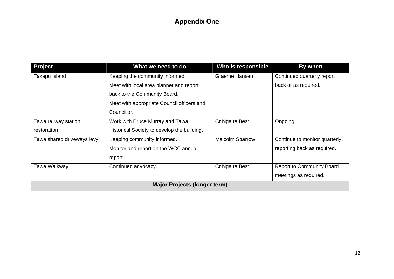| Project                             | What we need to do                          | Who is responsible     | By when                          |
|-------------------------------------|---------------------------------------------|------------------------|----------------------------------|
| Takapu Island                       | Keeping the community informed.             | Graeme Hansen          | Continued quarterly report       |
|                                     | Meet with local area planner and report     |                        | back or as required.             |
|                                     | back to the Community Board.                |                        |                                  |
|                                     | Meet with appropriate Council officers and  |                        |                                  |
|                                     | Councillor.                                 |                        |                                  |
| Tawa railway station                | Work with Bruce Murray and Tawa             | Cr Ngaire Best         | Ongoing                          |
| restoration                         | Historical Society to develop the building. |                        |                                  |
| Tawa shared driveways levy          | Keeping community informed.                 | <b>Malcolm Sparrow</b> | Continue to monitor quarterly,   |
|                                     | Monitor and report on the WCC annual        |                        | reporting back as required.      |
|                                     | report.                                     |                        |                                  |
| Tawa Walkway                        | Continued advocacy.                         | Cr Ngaire Best         | <b>Report to Community Board</b> |
|                                     |                                             |                        | meetings as required.            |
| <b>Major Projects (longer term)</b> |                                             |                        |                                  |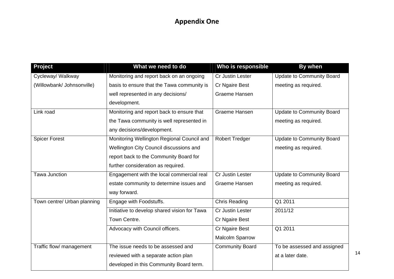| <b>Project</b>              | What we need to do                           | Who is responsible     | By when                          |
|-----------------------------|----------------------------------------------|------------------------|----------------------------------|
| Cycleway/ Walkway           | Monitoring and report back on an ongoing     | Cr Justin Lester       | Update to Community Board        |
| (Willowbank/ Johnsonville)  | basis to ensure that the Tawa community is   | Cr Ngaire Best         | meeting as required.             |
|                             | well represented in any decisions/           | Graeme Hansen          |                                  |
|                             | development.                                 |                        |                                  |
| Link road                   | Monitoring and report back to ensure that    | Graeme Hansen          | <b>Update to Community Board</b> |
|                             | the Tawa community is well represented in    |                        | meeting as required.             |
|                             | any decisions/development.                   |                        |                                  |
| <b>Spicer Forest</b>        | Monitoring Wellington Regional Council and   | <b>Robert Tredger</b>  | <b>Update to Community Board</b> |
|                             | Wellington City Council discussions and      |                        | meeting as required.             |
|                             | report back to the Community Board for       |                        |                                  |
|                             | further consideration as required.           |                        |                                  |
| <b>Tawa Junction</b>        | Engagement with the local commercial real    | Cr Justin Lester       | <b>Update to Community Board</b> |
|                             | estate community to determine issues and     | Graeme Hansen          | meeting as required.             |
|                             | way forward.                                 |                        |                                  |
| Town centre/ Urban planning | Engage with Foodstuffs.                      | <b>Chris Reading</b>   | Q1 2011                          |
|                             | Initiative to develop shared vision for Tawa | Cr Justin Lester       | 2011/12                          |
|                             | Town Centre.                                 | Cr Ngaire Best         |                                  |
|                             | Advocacy with Council officers.              | Cr Ngaire Best         | Q1 2011                          |
|                             |                                              | <b>Malcolm Sparrow</b> |                                  |
| Traffic flow/ management    | The issue needs to be assessed and           | <b>Community Board</b> | To be assessed and assigned      |
|                             | reviewed with a separate action plan         |                        | at a later date.                 |
|                             | developed in this Community Board term.      |                        |                                  |

14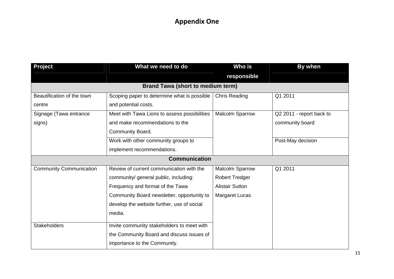| Project                                  | What we need to do                           | Who is                 | By when                  |
|------------------------------------------|----------------------------------------------|------------------------|--------------------------|
|                                          |                                              | responsible            |                          |
| <b>Brand Tawa (short to medium term)</b> |                                              |                        |                          |
| Beautification of the town               | Scoping paper to determine what is possible  | <b>Chris Reading</b>   | Q1 2011                  |
| centre                                   | and potential costs.                         |                        |                          |
| Signage (Tawa entrance                   | Meet with Tawa Lions to assess possibilities | <b>Malcolm Sparrow</b> | Q2 2011 - report back to |
| signs)                                   | and make recommendations to the              |                        | community board          |
|                                          | Community Board.                             |                        |                          |
|                                          | Work with other community groups to          |                        | Post-May decision        |
|                                          | implement recommendations.                   |                        |                          |
| <b>Communication</b>                     |                                              |                        |                          |
| <b>Community Communication</b>           | Review of current communication with the     | <b>Malcolm Sparrow</b> | Q1 2011                  |
|                                          | community/ general public, including:        | <b>Robert Tredger</b>  |                          |
|                                          | Frequency and format of the Tawa             | <b>Alistair Sutton</b> |                          |
|                                          | Community Board newsletter, opportunity to   | <b>Margaret Lucas</b>  |                          |
|                                          | develop the website further, use of social   |                        |                          |
|                                          | media.                                       |                        |                          |
| <b>Stakeholders</b>                      | Invite community stakeholders to meet with   |                        |                          |
|                                          | the Community Board and discuss issues of    |                        |                          |
|                                          | importance to the Community.                 |                        |                          |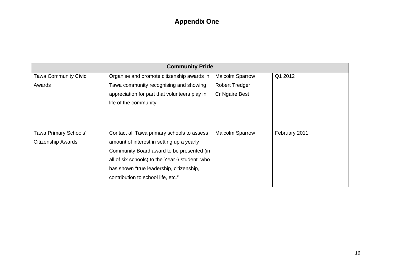| <b>Community Pride</b>    |                                               |                        |               |
|---------------------------|-----------------------------------------------|------------------------|---------------|
| Tawa Community Civic      | Organise and promote citizenship awards in    | <b>Malcolm Sparrow</b> | Q1 2012       |
| Awards                    | Tawa community recognising and showing        | <b>Robert Tredger</b>  |               |
|                           | appreciation for part that volunteers play in | Cr Ngaire Best         |               |
|                           | life of the community                         |                        |               |
|                           |                                               |                        |               |
|                           |                                               |                        |               |
|                           |                                               |                        |               |
| Tawa Primary Schools'     | Contact all Tawa primary schools to assess    | <b>Malcolm Sparrow</b> | February 2011 |
| <b>Citizenship Awards</b> | amount of interest in setting up a yearly     |                        |               |
|                           | Community Board award to be presented (in     |                        |               |
|                           | all of six schools) to the Year 6 student who |                        |               |
|                           | has shown "true leadership, citizenship,      |                        |               |
|                           | contribution to school life, etc."            |                        |               |
|                           |                                               |                        |               |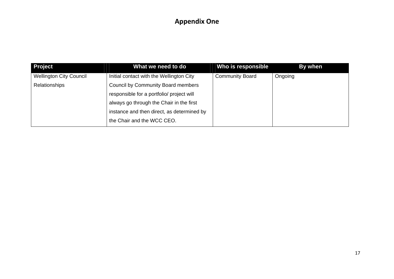| <b>Project</b>                 | What we need to do                         | Who is responsible     | By when |
|--------------------------------|--------------------------------------------|------------------------|---------|
| <b>Wellington City Council</b> | Initial contact with the Wellington City   | <b>Community Board</b> | Ongoing |
| Relationships                  | Council by Community Board members         |                        |         |
|                                | responsible for a portfolio/ project will  |                        |         |
|                                | always go through the Chair in the first   |                        |         |
|                                | instance and then direct, as determined by |                        |         |
|                                | the Chair and the WCC CEO.                 |                        |         |